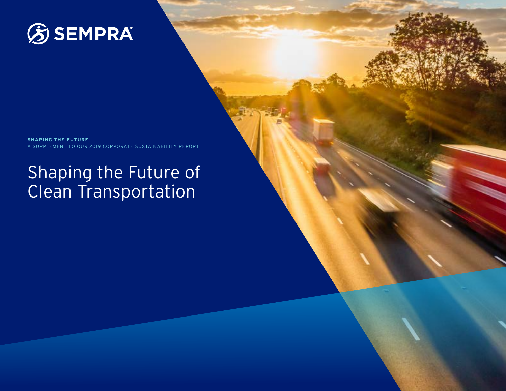

**SHAPING THE FUTURE**  A SUPPLEMENT TO OUR 2019 CORPORATE SUSTAINABILITY REPORT

# Shaping the Future of Clean Transportation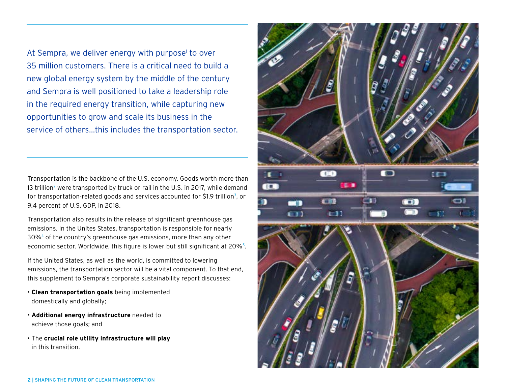At Sempra, we deliver energy with purpose<sup>1</sup> to over 35 million customers. There is a critical need to build a new global energy system by the middle of the century and Sempra is well positioned to take a leadership role in the required energy transition, while capturing new opportunities to grow and scale its business in the service of others…this includes the transportation sector.

Transportation is the backbone of the U.S. economy. Goods worth more than 13 trillion<sup>[2](https://www.bts.gov/topics/freight-transportation/freight-shipments-mode)</sup> were transported by truck or rail in the U.S. in 2017, while demand for transportation-related goods and services accounted for \$1.9 trillion<sup>[3](https://data.bts.gov/stories/s/TET-contibution-2-test-/pgc3-e7j9)</sup>, or 9.4 percent of U.S. GDP, in 2018.

Transportation also results in the release of significant greenhouse gas emissions. In the Unites States, transportation is responsible for nearly 30%<sup>[4](https://www.epa.gov/ghgemissions/sources-greenhouse-gas-emissions)</sup> of the country's greenhouse gas emissions, more than any other economic sector. Worldwide, this figure is lower but still significant at 20%<sup>[5](https://ourworldindata.org/co2-emissions-from-transport)</sup>.

If the United States, as well as the world, is committed to lowering emissions, the transportation sector will be a vital component. To that end, this supplement to Sempra's corporate sustainability report discusses:

- **Clean transportation goals** being implemented domestically and globally;
- **Additional energy infrastructure** needed to achieve those goals; and
- The **crucial role utility infrastructure will play** in this transition.

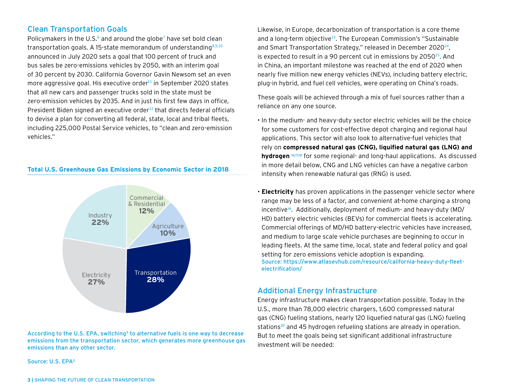# Clean Transportation Goals

Policymakers in the U.S. $<sup>6</sup>$  $<sup>6</sup>$  $<sup>6</sup>$  and around the globe<sup>[7](https://theclimatecenter.org/wp-content/uploads/2020/03/Survey-on-Global-Activities-to-Phase-Out-ICE-Vehicles-update-3.18.20-1.pdf)</sup> have set bold clean</sup> transportation goals. A 15-state memorandum of understanding $8,9,10$  $8,9,10$  $8,9,10$  $8,9,10$  $8,9,10$ announced in July 2020 sets a goal that 100 percent of truck and bus sales be zero-emissions vehicles by 2050, with an interim goal of 30 percent by 2030. California Governor Gavin Newsom set an even more aggressive goal. His executive order<sup>[11](https://www.gov.ca.gov/2020/09/23/governor-newsom-announces-california-will-phase-out-gasoline-powered-cars-drastically-reduce-demand-for-fossil-fuel-in-californias-fight-against-climate-change/)</sup> in September 2020 states that all new cars and passenger trucks sold in the state must be zero-emission vehicles by 2035. And in just his first few days in office, President Biden signed an executive order<sup>[12](https://www.whitehouse.gov/briefing-room/presidential-actions/2021/01/27/executive-order-on-tackling-the-climate-crisis-at-home-and-abroad/)</sup> that directs federal officials to devise a plan for converting all federal, state, local and tribal fleets, including 225,000 Postal Service vehicles, to "clean and zero-emission vehicles."

#### **Total U.S. Greenhouse Gas Emissions by Economic Sector in 2018**



According to the U.S. EPA, switching<sup>3</sup> to alternative fuels is one way to decrease emissions from the transportation sector, which generates more greenhouse gas emissions than any other sector.

Source: U.S. EPA<sup>2</sup>

Likewise, in Europe, decarbonization of transportation is a core theme and a long-term objective<sup>[13](https://ec.europa.eu/transport/themes/urban/cts_en)</sup>. The European Commission's "Sustainable and Smart Transportation Strategy," released in December 2020<sup>[14](https://ec.europa.eu/commission/presscorner/detail/en/ip_20_2329)</sup>, is expected to result in a 90 percent cut in emissions by 2050<sup>[15](https://ec.europa.eu/transport/sites/transport/files/legislation/com20200789.pdf)</sup>. And in China, an important milestone was reached at the end of 2020 when nearly five million new energy vehicles (NEVs), including battery electric, plug-in hybrid, and fuel cell vehicles, were operating on China's roads.

These goals will be achieved through a mix of fuel sources rather than a reliance on any one source.

- In the medium- and heavy-duty sector electric vehicles will be the choice for some customers for cost-effective depot charging and regional haul applications. This sector will also look to alternative-fuel vehicles that rely on **compressed natural gas (CNG), liquified natural gas (LNG) and**  hydrogen<sup>16,17,18</sup> for some regional- and long-haul applications. As discussed in more detail below, CNG and LNG vehicles can have a negative carbon intensity when renewable natural gas (RNG) is used.
- **Electricity** has proven applications in the passenger vehicle sector where range may be less of a factor, and convenient at-home charging a strong incentive<sup>19</sup>. Additionally, deployment of medium- and heavy-duty (MD/ HD) battery electric vehicles (BEVs) for commercial fleets is accelerating. Commercial offerings of MD/HD battery-electric vehicles have increased, and medium to large scale vehicle purchases are beginning to occur in leading fleets. At the same time, local, state and federal policy and goal setting for zero emissions vehicle adoption is expanding. Source: [https://www.atlasevhub.com/resource/california-heavy-duty-fleet](https://www.atlasevhub.com/resource/california-heavy-duty-fleet-electrification/)[electrification/](https://www.atlasevhub.com/resource/california-heavy-duty-fleet-electrification/)

## Additional Energy Infrastructure

Energy infrastructure makes clean transportation possible. Today In the U.S., more than 78,000 electric chargers, 1,600 compressed natural gas (CNG) fueling stations, nearly 120 liquefied natural gas (LNG) fueling stations<sup>[20](https://afdc.energy.gov/data/10332)</sup> and 45 hydrogen refueling stations are already in operation. But to meet the goals being set significant additional infrastructure investment will be needed: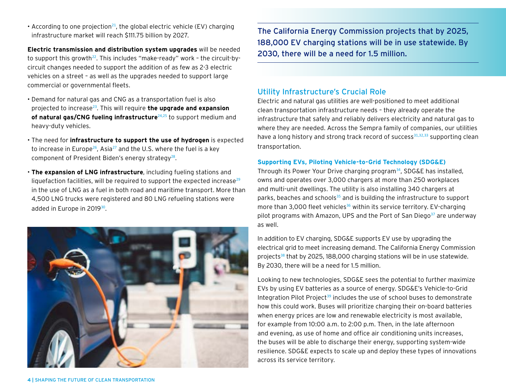**4 |** SHAPING THE FUTURE OF CLEAN TRANSPORTATION

• According to one projection<sup>[21](https://www.grandviewresearch.com/press-release/global-electric-vehicle-ev-charging-infrastructure-market)</sup>, the global electric vehicle (EV) charging infrastructure market will reach \$111.75 billion by 2027.

**Electric transmission and distribution system upgrades** will be needed to support this growth<sup>[22](https://www.powermag.com/driving-change-on-the-grid-the-impact-of-ev-adoption/)</sup>. This includes "make-ready" work - the circuit-bycircuit changes needed to support the addition of as few as 2-3 electric vehicles on a street – as well as the upgrades needed to support large commercial or governmental fleets.

- Demand for natural gas and CNG as a transportation fuel is also projected to increase[23](https://www.credenceresearch.com/press/global-compressed-natural-gas-cng-market). This will require **the upgrade and expansion**  of natural gas/CNG fueling infrastructure<sup>[24](http://info.opisnet.com/trustar-expects-us-cng-market-expansion-to-accelerate-amid-gas-output-growth)[,25](https://www.ngvglobal.com/blog/250-cng-stations-for-trustar-energy-in-growing-u-s-market-0427)</sup> to support medium and heavy-duty vehicles.
- The need for **infrastructure to support the use of hydrogen** is expected to increase in Europe<sup>[26](https://www.petroleum-economist.com/articles/low-carbon-energy/energy-transition/2020/eu-stakes-claim-to-hydrogen-future)</sup>, Asia<sup>[27](https://asian-power.com/power-utility/news/growth-opportunities-arise-green-hydrogen-in-asia-pacific)</sup> and the U.S. where the fuel is a key component of President Biden's energy strategy<sup>[28](https://joebiden.com/clean-energy/)</sup>.
- **The expansion of LNG infrastructure**, including fueling stations and liquefaction facilities, will be required to support the expected increase $^{29}$  $^{29}$  $^{29}$ in the use of LNG as a fuel in both road and maritime transport. More than 4,500 LNG trucks were registered and 80 LNG refueling stations were added in Europe in 2019<sup>[30](https://www.rivieramm.com/news-content-hub/news-content-hub/growing-uptake-of-lng-fuelled-vehicles-as-refueling-infrastructure-increases-59118)</sup>.

The California Energy Commission projects that by 2025, 188,000 EV charging stations will be in use statewide. By 2030, there will be a need for 1.5 million.

# Utility Infrastructure's Crucial Role

Electric and natural gas utilities are well-positioned to meet additional clean transportation infrastructure needs – they already operate the infrastructure that safely and reliably delivers electricity and natural gas to where they are needed. Across the Sempra family of companies, our utilities have a long history and strong track record of success $31,32,33$  $31,32,33$  $31,32,33$  $31,32,33$  $31,32,33$  supporting clean transportation.

#### **Supporting EVs, Piloting Vehicle-to-Grid Technology (SDG&E)**

Through its Power Your Drive charging program<sup>[34](https://www.sdge.com/residential/electric-vehicles/power-your-drive)</sup>, SDG&E has installed, owns and operates over 3,000 chargers at more than 250 workplaces and multi-unit dwellings. The utility is also installing 340 chargers at parks, beaches and schools<sup>[35](https://www.sdge.com/residential/electric-vehicles/power-your-drive/power-your-drive-for-schools-parks-and-beaches)</sup> and is building the infrastructure to support more than 3,000 fleet vehicles<sup>[36](https://www.sdge.com/business/electric-vehicles/power-your-drive-for-fleets)</sup> within its service territory. EV-charging pilot programs with Amazon, UPS and the Port of San Diego $37$  are underway as well.

In addition to EV charging, SDG&E supports EV use by upgrading the electrical grid to meet increasing demand. The California Energy Commission projects<sup>[38](https://www.energy.ca.gov/programs-and-topics/programs/electric-vehicle-charging-infrastructure-assessment-ab-2127)</sup> that by 2025, 188,000 charging stations will be in use statewide. By 2030, there will be a need for 1.5 million.

Looking to new technologies, SDG&E sees the potential to further maximize EVs by using EV batteries as a source of energy. SDG&E's Vehicle-to-Grid Integration Pilot Project<sup>[39](https://www.sdge.com/sites/default/files/Medium Duty Heavy Duty EV Fact Sheet.pdf)</sup> includes the use of school buses to demonstrate how this could work. Buses will prioritize charging their on-board batteries when energy prices are low and renewable electricity is most available, for example from 10:00 a.m. to 2:00 p.m. Then, in the late afternoon and evening, as use of home and office air conditioning units increases, the buses will be able to discharge their energy, supporting system-wide resilience. SDG&E expects to scale up and deploy these types of innovations across its service territory.

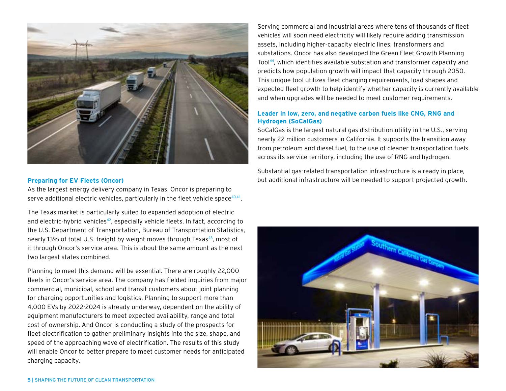

#### **Preparing for EV Fleets (Oncor)**

As the largest energy delivery company in Texas, Oncor is preparing to serve additional electric vehicles, particularly in the fleet vehicle space  $40,41$  $40,41$ .

The Texas market is particularly suited to expanded adoption of electric and electric-hybrid vehicles<sup>[42](https://sepapower.org/knowledge/texas-next-hot-market-for-evs/)</sup>, especially vehicle fleets. In fact, according to the U.S. Department of Transportation, Bureau of Transportation Statistics, nearly 13% of total U.S. freight by weight moves through Texas<sup>[43](https://www.bts.gov/freight-flows-state)</sup>, most of it through Oncor's service area. This is about the same amount as the next two largest states combined.

Planning to meet this demand will be essential. There are roughly 22,000 fleets in Oncor's service area. The company has fielded inquiries from major commercial, municipal, school and transit customers about joint planning for charging opportunities and logistics. Planning to support more than 4,000 EVs by 2022-2024 is already underway, dependent on the ability of equipment manufacturers to meet expected availability, range and total cost of ownership. And Oncor is conducting a study of the prospects for fleet electrification to gather preliminary insights into the size, shape, and speed of the approaching wave of electrification. The results of this study will enable Oncor to better prepare to meet customer needs for anticipated charging capacity.

Serving commercial and industrial areas where tens of thousands of fleet vehicles will soon need electricity will likely require adding transmission assets, including higher-capacity electric lines, transformers and substations. Oncor has also developed the Green Fleet Growth Planning Tool<sup>[44](https://utilityanalytics.com/2020/03/the-fleets-are-coming-the-fleets-are-coming-electric-trucks-that-is/)</sup>, which identifies available substation and transformer capacity and predicts how population growth will impact that capacity through 2050. This unique tool utilizes fleet charging requirements, load shapes and expected fleet growth to help identify whether capacity is currently available and when upgrades will be needed to meet customer requirements.

### **Leader in low, zero, and negative carbon fuels like CNG, RNG and Hydrogen (SoCalGas)**

SoCalGas is the largest natural gas distribution utility in the U.S., serving nearly 22 million customers in California. It supports the transition away from petroleum and diesel fuel, to the use of cleaner transportation fuels across its service territory, including the use of RNG and hydrogen.

Substantial gas-related transportation infrastructure is already in place, but additional infrastructure will be needed to support projected growth.

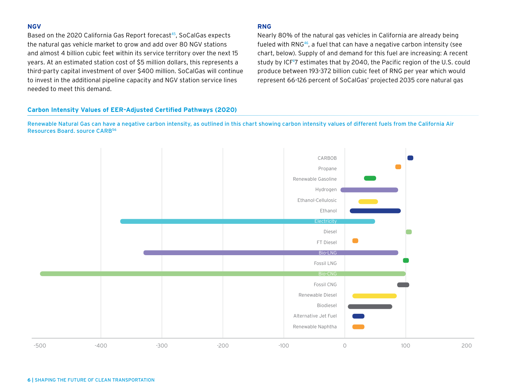#### **NGV**

Based on the 2020 California Gas Report forecast<sup>[45](https://www.socalgas.com/sites/default/files/2020-10/2020_California_Gas_Report_Joint_Utility_Biennial_Comprehensive_Filing.pdf)</sup>, SoCalGas expects the natural gas vehicle market to grow and add over 80 NGV stations and almost 4 billion cubic feet within its service territory over the next 15 years. At an estimated station cost of \$5 million dollars, this represents a third-party capital investment of over \$400 million. SoCalGas will continue to invest in the additional pipeline capacity and NGV station service lines needed to meet this demand.

#### **RNG**

Nearly 80% of the natural gas vehicles in California are already being fueled with RNG<sup>[46](https://ww3.arb.ca.gov/fuels/lcfs/dashboard/dashboard.htm)</sup>, a fuel that can have a negative carbon intensity (see chart, below). Supply of and demand for this fuel are increasing: A recent study by ICF<sup>4</sup>[7](https://gasfoundation.org/2019/12/18/renewable-sources-of-natural-gas/) estimates that by 2040, the Pacific region of the U.S. could produce between 193-372 billion cubic feet of RNG per year which would represent 66-126 percent of SoCalGas' projected 2035 core natural gas

#### **Carbon Intensity Values of EER-Adjusted Certified Pathways (2020)**

Renewable Natural Gas can have a negative carbon intensity, as outlined in this chart showing carbon intensity values of different fuels from the California Air Resources Board. source CAR[B56](https://ww2.arb.ca.gov/resources/documents/lcfs-pathway-certified-carbon-intensities)

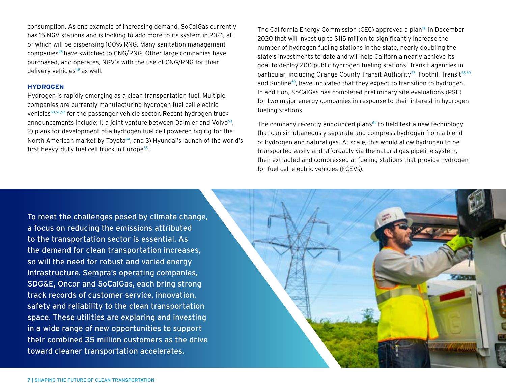consumption. As one example of increasing demand, SoCalGas currently has 15 NGV stations and is looking to add more to its system in 2021, all of which will be dispensing 100% RNG. Many sanitation management companies[48](https://www.wastedive.com/news/waste-management-ceo-projects-75-percent-cng-fleet-2021/571273/) have switched to CNG/RNG. Other large companies have purchased, and operates, NGV's with the use of CNG/RNG for their delivery vehicles $49$  as well.

#### **HYDROGEN**

Hydrogen is rapidly emerging as a clean transportation fuel. Multiple companies are currently manufacturing hydrogen fuel cell electric vehicles<sup>[50,](https://www.toyota.com/mirai/fcv.html)[51](https://www.hyundaiusa.com/us/en/vehicles/nexo),[52](https://automobiles.honda.com/clarity-fuel-cell)</sup> for the passenger vehicle sector. Recent hydrogen truck announcements include; 1) a joint venture between Daimler and Volvo $53$ , 2) plans for development of a hydrogen fuel cell powered big rig for the North American market by Toyota<sup>[54](https://www.japantimes.co.jp/news/2020/10/06/business/corporate-business/toyota-hydrogen-north-american-fuel-cell-truck/)</sup>, and 3) Hyundai's launch of the world's first heavy-duty fuel cell truck in Europe<sup>[55](https://fuelcellsworks.com/news/worlds-first-fuel-cell-heavy-duty-truck-hyundai-xcient-fuel-cell-heads-to-europe-for-commercial-use/)</sup>.

The California Energy Commission (CEC) approved a plan<sup>[56](https://www.energy.ca.gov/news/2020-12/energy-commission-approves-plan-invest-115-million-hydrogen-fueling)</sup> in December 2020 that will invest up to \$115 million to significantly increase the number of hydrogen fueling stations in the state, nearly doubling the state's investments to date and will help California nearly achieve its goal to deploy 200 public hydrogen fueling stations. Transit agencies in particular, including Orange County Transit Authority<sup>[57](https://www.octa.net/News/About/OCTA-Debuts-Nation-Largest-Hydrogen-Fueling-Station/)</sup>, Foothill Transit<sup>[58](http://foothilltransit.org/wp-content/uploads/2020/03/03-18-20-Agenda-Packet-Special-Executive.pdf)[,59](https://www.masstransitmag.com/bus/vehicles/article/21129094/managing-the-mix)</sup> and Sunline<sup>[60](https://www.sunline.org/hydrogen-cng-construction-project)</sup>, have indicated that they expect to transition to hydrogen. In addition, SoCalGas has completed preliminary site evaluations (PSE) for two major energy companies in response to their interest in hydrogen fueling stations.

The company recently announced plans $61$  to field test a new technology that can simultaneously separate and compress hydrogen from a blend of hydrogen and natural gas. At scale, this would allow hydrogen to be transported easily and affordably via the natural gas pipeline system, then extracted and compressed at fueling stations that provide hydrogen for fuel cell electric vehicles (FCEVs).

To meet the challenges posed by climate change, a focus on reducing the emissions attributed to the transportation sector is essential. As the demand for clean transportation increases, so will the need for robust and varied energy infrastructure. Sempra's operating companies, SDG&E, Oncor and SoCalGas, each bring strong track records of customer service, innovation, safety and reliability to the clean transportation space. These utilities are exploring and investing in a wide range of new opportunities to support their combined 35 million customers as the drive toward cleaner transportation accelerates.